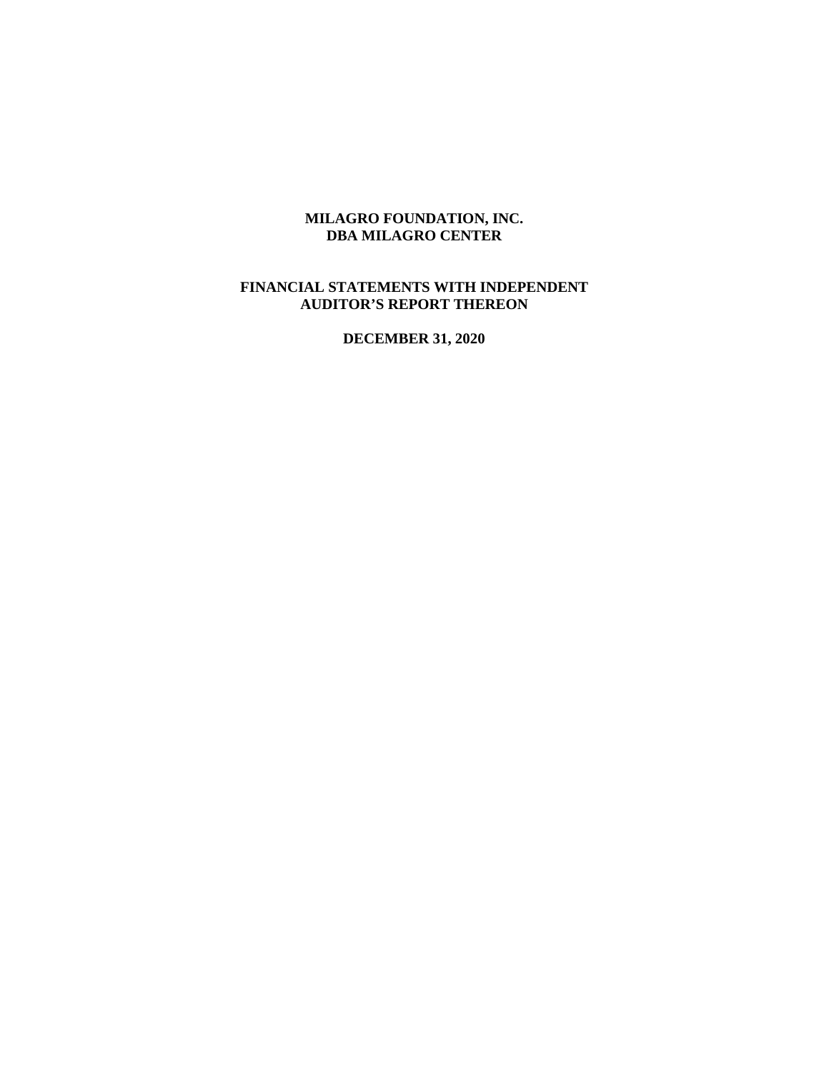### **MILAGRO FOUNDATION, INC. DBA MILAGRO CENTER**

#### **FINANCIAL STATEMENTS WITH INDEPENDENT AUDITOR'S REPORT THEREON**

**DECEMBER 31, 2020**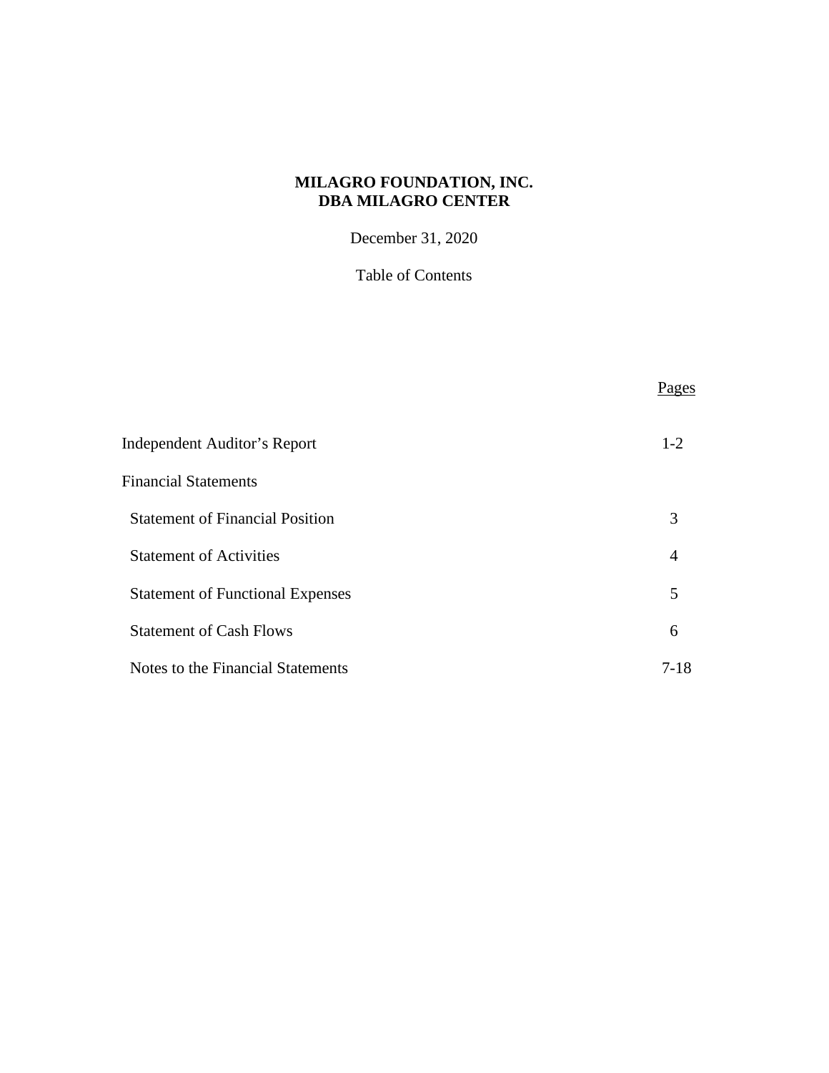### **MILAGRO FOUNDATION, INC. DBA MILAGRO CENTER**

December 31, 2020

Table of Contents

| Pages                                            |  |
|--------------------------------------------------|--|
| $1 - 2$<br>Independent Auditor's Report          |  |
| <b>Financial Statements</b>                      |  |
| <b>Statement of Financial Position</b><br>3      |  |
| <b>Statement of Activities</b><br>$\overline{4}$ |  |
| 5<br><b>Statement of Functional Expenses</b>     |  |
| <b>Statement of Cash Flows</b><br>6              |  |
| Notes to the Financial Statements<br>$7-18$      |  |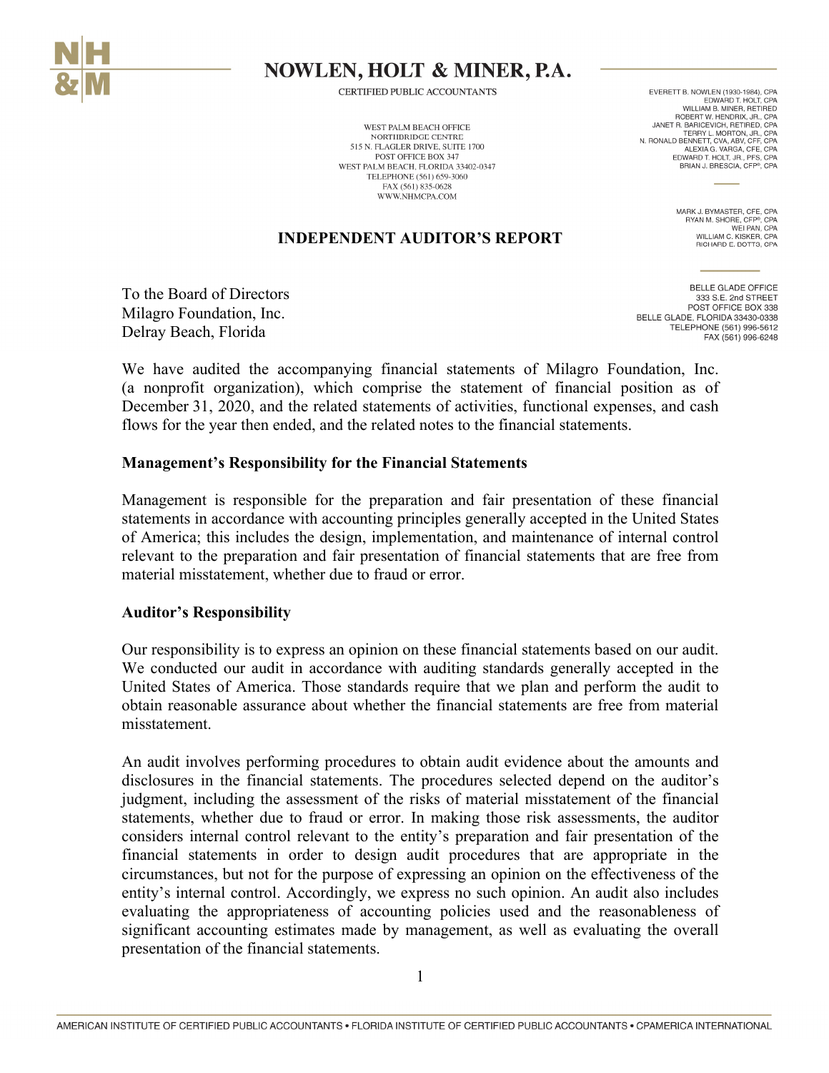

# **NOWLEN, HOLT & MINER, P.A.**

CERTIFIED PUBLIC ACCOUNTANTS

WEST PALM BEACH OFFICE NORTHBRIDGE CENTRE 515 N. FLAGLER DRIVE, SUITE 1700 POST OFFICE BOX 347 WEST PALM BEACH. FLORIDA 33402-0347 TELEPHONE (561) 659-3060 FAX (561) 835-0628 WWW.NHMCPA.COM

**INDEPENDENT AUDITOR'S REPORT** 

EVERETT B. NOWLEN (1930-1984), CPA<br>EDWARD T. HOLT, CPA<br>WILLIAM B. MINER, RETIRED ROBERT W. HENDRIX, JR., CPA<br>JANET R. BARICEVICH, RETIRED, CPA TERRY L. MORTON, JR., CPA<br>N. RONALD BENNETT, CVA, ABV, CFF, CPA ALEXIA G. VARGA, CFE, CPA<br>ALEXIA G. VARGA, CFE, CPA<br>EDWARD T. HOLT, JR., PFS, CPA BRIAN J. BRESCIA, CFP®, CPA

> MARK J. BYMASTER, CFE, CPA RYAN M. SHORE, CFP®, CPA WELPAN, CHANNIC SHOTLE, OTT , OTT<br>WELPAN, CPA<br>RICHARD E. BOTTS, CPA

To the Board of Directors Milagro Foundation, Inc. Delray Beach, Florida

**BELLE GLADE OFFICE** 333 S.E. 2nd STREET POST OFFICE BOX 338 BELLE GLADE, FLORIDA 33430-0338 TELEPHONE (561) 996-5612 FAX (561) 996-6248

We have audited the accompanying financial statements of Milagro Foundation, Inc. (a nonprofit organization), which comprise the statement of financial position as of December 31, 2020, and the related statements of activities, functional expenses, and cash flows for the year then ended, and the related notes to the financial statements.

### **Management's Responsibility for the Financial Statements**

Management is responsible for the preparation and fair presentation of these financial statements in accordance with accounting principles generally accepted in the United States of America; this includes the design, implementation, and maintenance of internal control relevant to the preparation and fair presentation of financial statements that are free from material misstatement, whether due to fraud or error.

### **Auditor's Responsibility**

Our responsibility is to express an opinion on these financial statements based on our audit. We conducted our audit in accordance with auditing standards generally accepted in the United States of America. Those standards require that we plan and perform the audit to obtain reasonable assurance about whether the financial statements are free from material misstatement.

An audit involves performing procedures to obtain audit evidence about the amounts and disclosures in the financial statements. The procedures selected depend on the auditor's judgment, including the assessment of the risks of material misstatement of the financial statements, whether due to fraud or error. In making those risk assessments, the auditor considers internal control relevant to the entity's preparation and fair presentation of the financial statements in order to design audit procedures that are appropriate in the circumstances, but not for the purpose of expressing an opinion on the effectiveness of the entity's internal control. Accordingly, we express no such opinion. An audit also includes evaluating the appropriateness of accounting policies used and the reasonableness of significant accounting estimates made by management, as well as evaluating the overall presentation of the financial statements.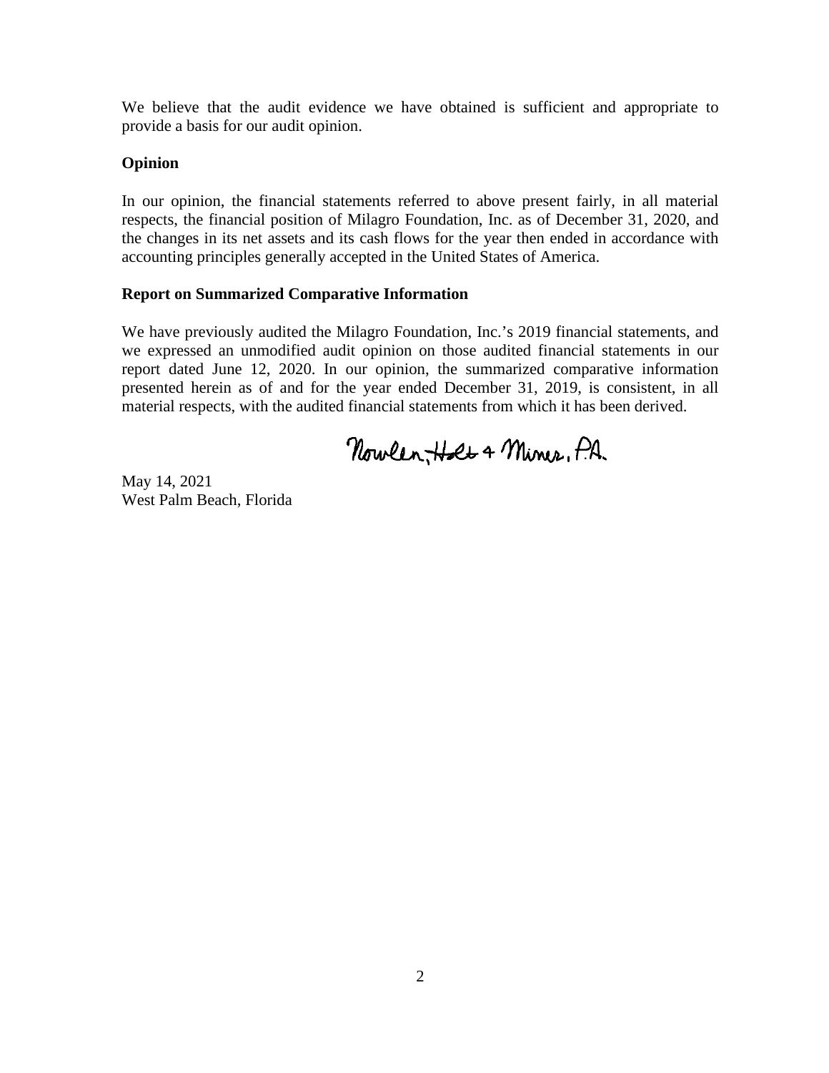We believe that the audit evidence we have obtained is sufficient and appropriate to provide a basis for our audit opinion.

### **Opinion**

In our opinion, the financial statements referred to above present fairly, in all material respects, the financial position of Milagro Foundation, Inc. as of December 31, 2020, and the changes in its net assets and its cash flows for the year then ended in accordance with accounting principles generally accepted in the United States of America.

### **Report on Summarized Comparative Information**

We have previously audited the Milagro Foundation, Inc.'s 2019 financial statements, and we expressed an unmodified audit opinion on those audited financial statements in our report dated June 12, 2020. In our opinion, the summarized comparative information presented herein as of and for the year ended December 31, 2019, is consistent, in all material respects, with the audited financial statements from which it has been derived.

Nowlen, Holt 4 Mines, P.A.

May 14, 2021 West Palm Beach, Florida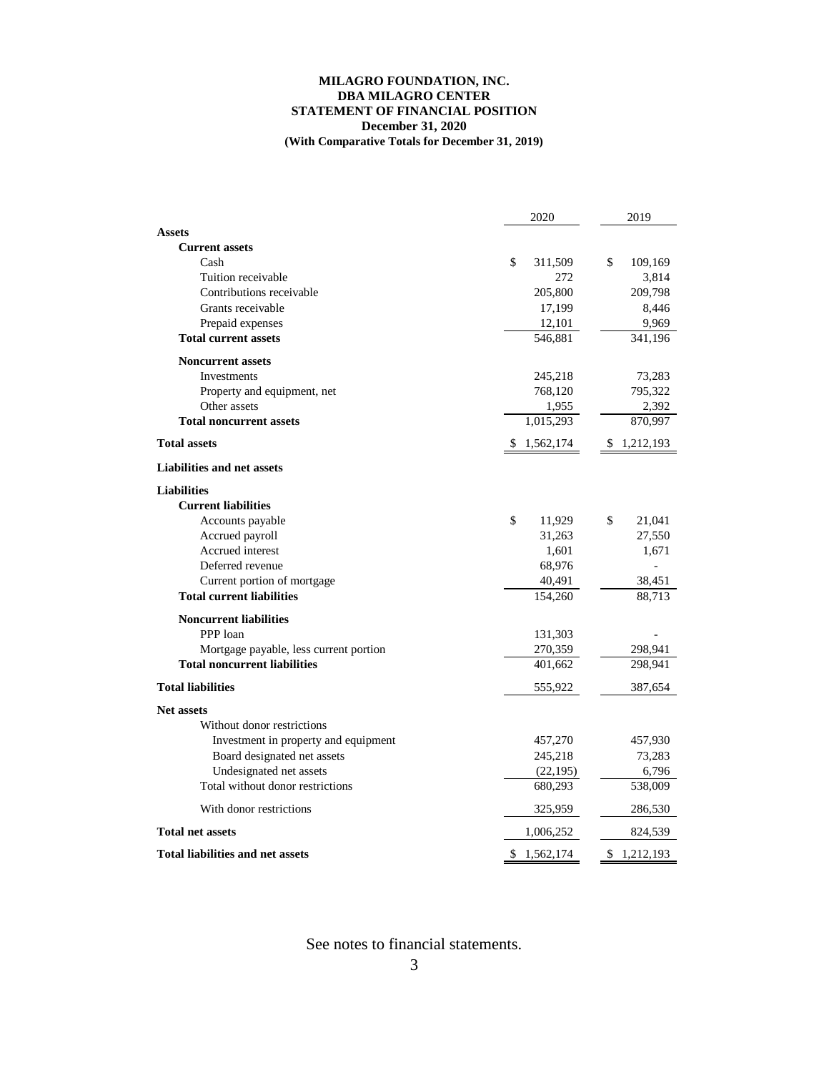#### **MILAGRO FOUNDATION, INC. DBA MILAGRO CENTER STATEMENT OF FINANCIAL POSITION December 31, 2020 (With Comparative Totals for December 31, 2019)**

|                                         | 2020          | 2019            |
|-----------------------------------------|---------------|-----------------|
| <b>Assets</b>                           |               |                 |
| <b>Current assets</b>                   |               |                 |
| Cash                                    | \$<br>311,509 | \$<br>109,169   |
| Tuition receivable                      | 272           | 3,814           |
| Contributions receivable                | 205,800       | 209,798         |
| Grants receivable                       | 17,199        | 8,446           |
| Prepaid expenses                        | 12,101        | 9,969           |
| <b>Total current assets</b>             | 546,881       | 341,196         |
| <b>Noncurrent assets</b>                |               |                 |
| Investments                             | 245,218       | 73,283          |
| Property and equipment, net             | 768,120       | 795,322         |
| Other assets                            | 1,955         | 2,392           |
| <b>Total noncurrent assets</b>          | 1,015,293     | 870,997         |
| <b>Total assets</b>                     | 1,562,174     | 1,212,193<br>\$ |
| <b>Liabilities and net assets</b>       |               |                 |
| <b>Liabilities</b>                      |               |                 |
| <b>Current liabilities</b>              |               |                 |
| Accounts payable                        | \$<br>11,929  | \$<br>21,041    |
| Accrued payroll                         | 31,263        | 27,550          |
| Accrued interest                        | 1,601         | 1,671           |
| Deferred revenue                        | 68,976        |                 |
| Current portion of mortgage             | 40,491        | 38,451          |
| <b>Total current liabilities</b>        | 154,260       | 88,713          |
| <b>Noncurrent liabilities</b>           |               |                 |
| PPP loan                                | 131,303       |                 |
| Mortgage payable, less current portion  | 270,359       | 298,941         |
| <b>Total noncurrent liabilities</b>     | 401,662       | 298,941         |
| <b>Total liabilities</b>                | 555,922       | 387,654         |
| <b>Net assets</b>                       |               |                 |
| Without donor restrictions              |               |                 |
| Investment in property and equipment    | 457,270       | 457,930         |
| Board designated net assets             | 245,218       | 73,283          |
| Undesignated net assets                 | (22, 195)     | 6,796           |
| Total without donor restrictions        | 680,293       | 538,009         |
| With donor restrictions                 | 325,959       | 286,530         |
| <b>Total net assets</b>                 | 1,006,252     | 824,539         |
| <b>Total liabilities and net assets</b> | \$1,562,174   | \$1,212,193     |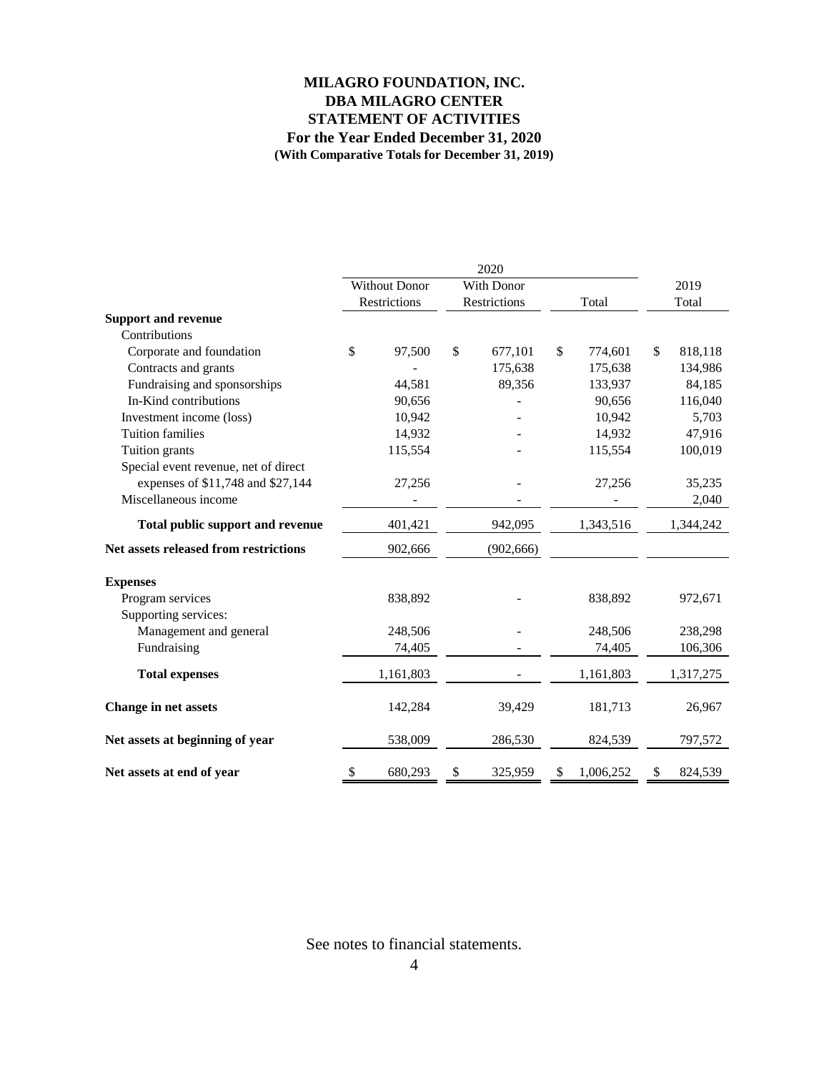#### **MILAGRO FOUNDATION, INC. DBA MILAGRO CENTER STATEMENT OF ACTIVITIES For the Year Ended December 31, 2020 (With Comparative Totals for December 31, 2019)**

|                                         | 2020 |                      |              |            |              |           |       |           |  |      |
|-----------------------------------------|------|----------------------|--------------|------------|--------------|-----------|-------|-----------|--|------|
|                                         |      | <b>Without Donor</b> | With Donor   |            |              |           |       |           |  | 2019 |
|                                         |      | Restrictions         | Restrictions |            |              | Total     | Total |           |  |      |
| <b>Support and revenue</b>              |      |                      |              |            |              |           |       |           |  |      |
| Contributions                           |      |                      |              |            |              |           |       |           |  |      |
| Corporate and foundation                | \$   | 97,500               | \$           | 677,101    | $\mathbb{S}$ | 774,601   | \$    | 818,118   |  |      |
| Contracts and grants                    |      |                      |              | 175,638    |              | 175,638   |       | 134,986   |  |      |
| Fundraising and sponsorships            |      | 44,581               |              | 89,356     |              | 133,937   |       | 84,185    |  |      |
| In-Kind contributions                   |      | 90,656               |              |            |              | 90,656    |       | 116,040   |  |      |
| Investment income (loss)                |      | 10,942               |              |            |              | 10,942    |       | 5,703     |  |      |
| <b>Tuition families</b>                 |      | 14,932               |              |            |              | 14,932    |       | 47,916    |  |      |
| Tuition grants                          |      | 115,554              |              |            |              | 115,554   |       | 100,019   |  |      |
| Special event revenue, net of direct    |      |                      |              |            |              |           |       |           |  |      |
| expenses of \$11,748 and \$27,144       |      | 27,256               |              |            |              | 27,256    |       | 35,235    |  |      |
| Miscellaneous income                    |      |                      |              |            |              |           |       | 2,040     |  |      |
| <b>Total public support and revenue</b> |      | 401,421              |              | 942,095    |              | 1,343,516 |       | 1,344,242 |  |      |
| Net assets released from restrictions   |      | 902,666              |              | (902, 666) |              |           |       |           |  |      |
| <b>Expenses</b>                         |      |                      |              |            |              |           |       |           |  |      |
| Program services                        |      | 838,892              |              |            |              | 838,892   |       | 972,671   |  |      |
| Supporting services:                    |      |                      |              |            |              |           |       |           |  |      |
| Management and general                  |      | 248,506              |              |            |              | 248,506   |       | 238,298   |  |      |
| Fundraising                             |      | 74,405               |              |            |              | 74,405    |       | 106,306   |  |      |
| <b>Total expenses</b>                   |      | 1,161,803            |              |            |              | 1,161,803 |       | 1,317,275 |  |      |
| <b>Change in net assets</b>             |      | 142,284              |              | 39,429     |              | 181,713   |       | 26,967    |  |      |
| Net assets at beginning of year         |      | 538,009              |              | 286,530    |              | 824,539   |       | 797,572   |  |      |
| Net assets at end of year               | \$   | 680,293              | \$           | 325,959    | \$           | 1,006,252 | \$    | 824,539   |  |      |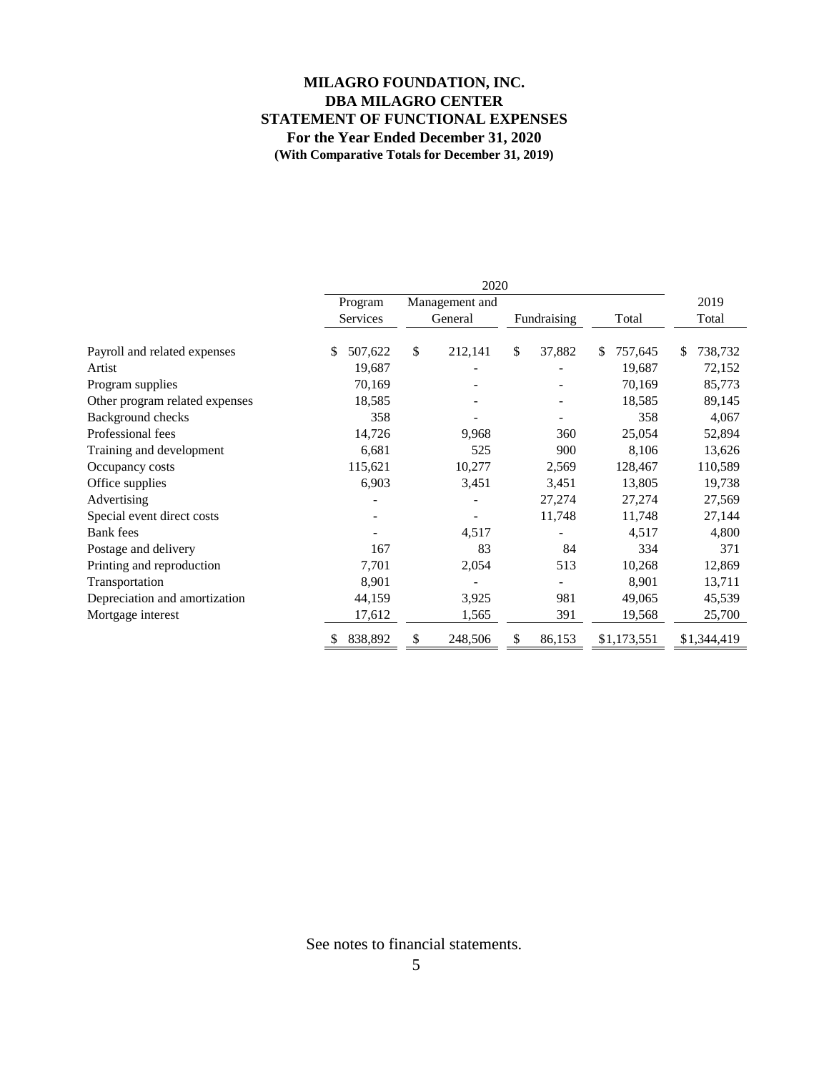#### **MILAGRO FOUNDATION, INC. DBA MILAGRO CENTER STATEMENT OF FUNCTIONAL EXPENSES For the Year Ended December 31, 2020 (With Comparative Totals for December 31, 2019)**

|                                | 2020                      |         |         |              |        |               |  |             |         |
|--------------------------------|---------------------------|---------|---------|--------------|--------|---------------|--|-------------|---------|
|                                | Management and<br>Program |         |         |              | 2019   |               |  |             |         |
|                                | Services                  | General |         | Fundraising  |        | Total         |  | Total       |         |
| Payroll and related expenses   | 507,622<br>\$             | \$      | 212,141 | $\mathbb{S}$ | 37,882 | 757,645<br>\$ |  | \$          | 738,732 |
| Artist                         | 19,687                    |         |         |              |        | 19,687        |  |             | 72,152  |
| Program supplies               | 70,169                    |         |         |              |        | 70,169        |  |             | 85,773  |
| Other program related expenses | 18,585                    |         |         |              |        | 18,585        |  |             | 89,145  |
| Background checks              | 358                       |         |         |              |        | 358           |  |             | 4,067   |
| Professional fees              | 14,726                    |         | 9,968   |              | 360    | 25,054        |  |             | 52,894  |
| Training and development       | 6,681                     |         | 525     |              | 900    | 8,106         |  |             | 13,626  |
| Occupancy costs                | 115,621                   |         | 10,277  |              | 2,569  | 128,467       |  |             | 110,589 |
| Office supplies                | 6,903                     |         | 3,451   |              | 3,451  | 13,805        |  |             | 19,738  |
| Advertising                    |                           |         |         |              | 27,274 | 27,274        |  |             | 27,569  |
| Special event direct costs     |                           |         |         |              | 11,748 | 11,748        |  |             | 27,144  |
| <b>Bank</b> fees               |                           |         | 4,517   |              |        | 4,517         |  |             | 4,800   |
| Postage and delivery           | 167                       |         | 83      |              | 84     | 334           |  |             | 371     |
| Printing and reproduction      | 7,701                     |         | 2,054   |              | 513    | 10,268        |  |             | 12,869  |
| Transportation                 | 8,901                     |         |         |              |        | 8,901         |  |             | 13,711  |
| Depreciation and amortization  | 44,159                    |         | 3,925   |              | 981    | 49,065        |  |             | 45,539  |
| Mortgage interest              | 17,612                    |         | 1,565   |              | 391    | 19,568        |  |             | 25,700  |
|                                | 838,892<br>S              | \$      | 248,506 | \$           | 86,153 | \$1,173,551   |  | \$1,344,419 |         |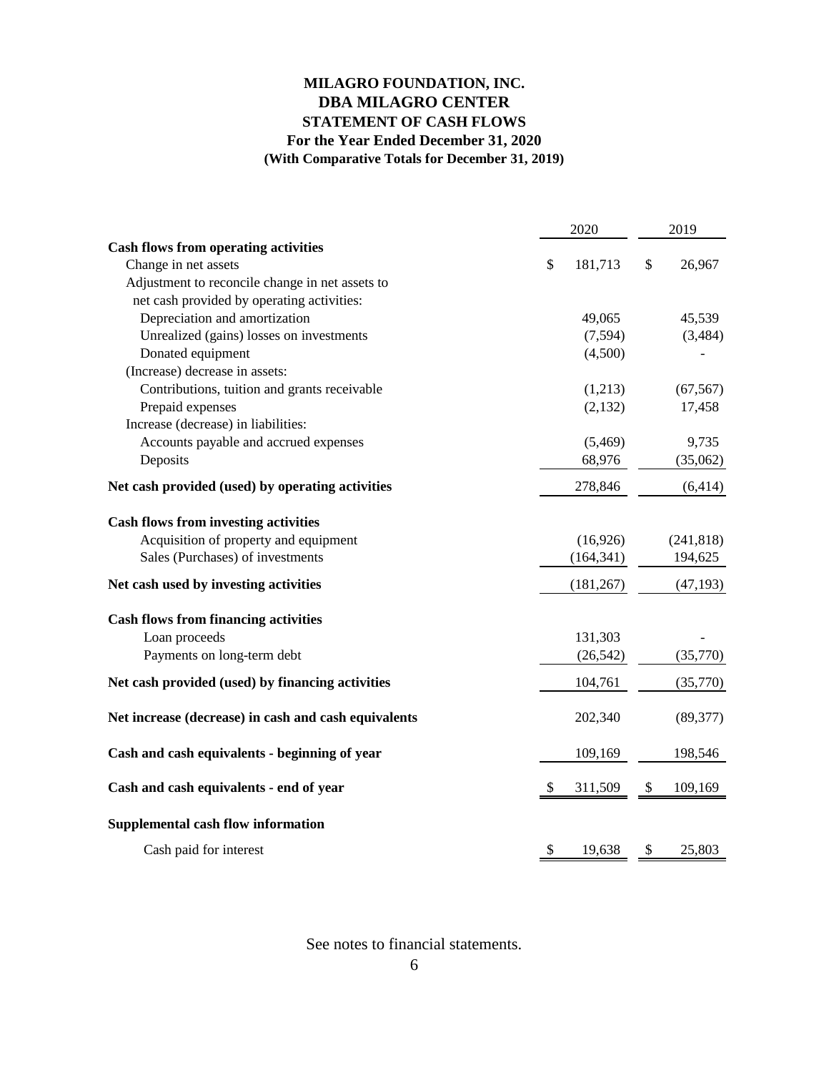### **(With Comparative Totals for December 31, 2019) MILAGRO FOUNDATION, INC. DBA MILAGRO CENTER STATEMENT OF CASH FLOWS For the Year Ended December 31, 2020**

|                                                      |               | 2020       |    | 2019       |  |
|------------------------------------------------------|---------------|------------|----|------------|--|
| <b>Cash flows from operating activities</b>          |               |            |    |            |  |
| Change in net assets                                 | \$            | 181,713    | \$ | 26,967     |  |
| Adjustment to reconcile change in net assets to      |               |            |    |            |  |
| net cash provided by operating activities:           |               |            |    |            |  |
| Depreciation and amortization                        |               | 49,065     |    | 45,539     |  |
| Unrealized (gains) losses on investments             |               | (7,594)    |    | (3,484)    |  |
| Donated equipment                                    |               | (4,500)    |    |            |  |
| (Increase) decrease in assets:                       |               |            |    |            |  |
| Contributions, tuition and grants receivable         |               | (1,213)    |    | (67, 567)  |  |
| Prepaid expenses                                     |               | (2,132)    |    | 17,458     |  |
| Increase (decrease) in liabilities:                  |               |            |    |            |  |
| Accounts payable and accrued expenses                |               | (5,469)    |    | 9,735      |  |
| Deposits                                             |               | 68,976     |    | (35,062)   |  |
| Net cash provided (used) by operating activities     |               | 278,846    |    | (6, 414)   |  |
| <b>Cash flows from investing activities</b>          |               |            |    |            |  |
| Acquisition of property and equipment                |               | (16,926)   |    | (241, 818) |  |
| Sales (Purchases) of investments                     |               | (164, 341) |    | 194,625    |  |
| Net cash used by investing activities                |               | (181, 267) |    | (47, 193)  |  |
| <b>Cash flows from financing activities</b>          |               |            |    |            |  |
| Loan proceeds                                        |               | 131,303    |    |            |  |
| Payments on long-term debt                           |               | (26, 542)  |    | (35,770)   |  |
| Net cash provided (used) by financing activities     |               | 104,761    |    | (35,770)   |  |
| Net increase (decrease) in cash and cash equivalents |               | 202,340    |    | (89, 377)  |  |
| Cash and cash equivalents - beginning of year        |               | 109,169    |    | 198,546    |  |
| Cash and cash equivalents - end of year              | <sup>\$</sup> | 311,509    | \$ | 109,169    |  |
| <b>Supplemental cash flow information</b>            |               |            |    |            |  |
| Cash paid for interest                               | \$            | 19,638     | \$ | 25,803     |  |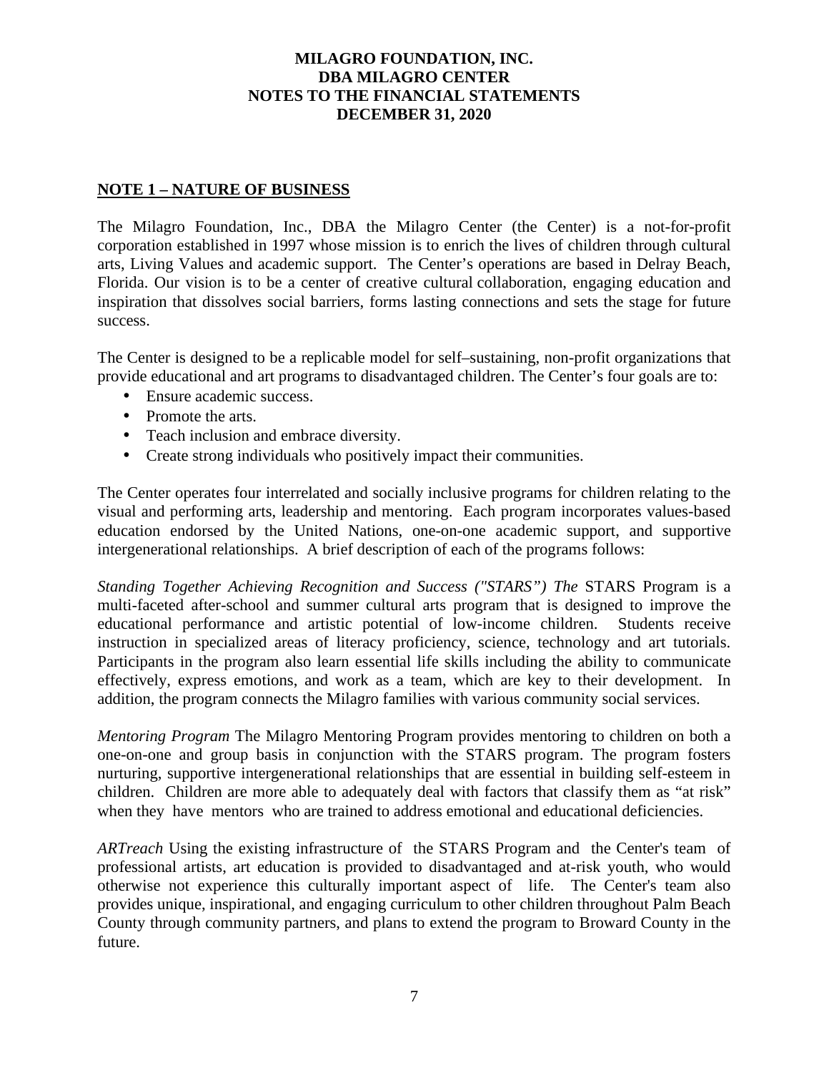### **NOTE 1 – NATURE OF BUSINESS**

The Milagro Foundation, Inc., DBA the Milagro Center (the Center) is a not-for-profit corporation established in 1997 whose mission is to enrich the lives of children through cultural arts, Living Values and academic support. The Center's operations are based in Delray Beach, Florida. Our vision is to be a center of creative cultural collaboration, engaging education and inspiration that dissolves social barriers, forms lasting connections and sets the stage for future success.

The Center is designed to be a replicable model for self–sustaining, non-profit organizations that provide educational and art programs to disadvantaged children. The Center's four goals are to:

- $\mathbb{R}^{\mathbb{Z}}$ Ensure academic success.
- Promote the arts.
- Teach inclusion and embrace diversity.
- Create strong individuals who positively impact their communities.

The Center operates four interrelated and socially inclusive programs for children relating to the visual and performing arts, leadership and mentoring. Each program incorporates values-based education endorsed by the United Nations, one-on-one academic support, and supportive intergenerational relationships. A brief description of each of the programs follows:

*Standing Together Achieving Recognition and Success ("STARS") The* STARS Program is a multi-faceted after-school and summer cultural arts program that is designed to improve the educational performance and artistic potential of low-income children. Students receive instruction in specialized areas of literacy proficiency, science, technology and art tutorials. Participants in the program also learn essential life skills including the ability to communicate effectively, express emotions, and work as a team, which are key to their development. In addition, the program connects the Milagro families with various community social services.

*Mentoring Program* The Milagro Mentoring Program provides mentoring to children on both a one-on-one and group basis in conjunction with the STARS program. The program fosters nurturing, supportive intergenerational relationships that are essential in building self-esteem in children. Children are more able to adequately deal with factors that classify them as "at risk" when they have mentors who are trained to address emotional and educational deficiencies.

*ARTreach* Using the existing infrastructure of the STARS Program and the Center's team of professional artists, art education is provided to disadvantaged and at-risk youth, who would otherwise not experience this culturally important aspect of life. The Center's team also provides unique, inspirational, and engaging curriculum to other children throughout Palm Beach County through community partners, and plans to extend the program to Broward County in the future.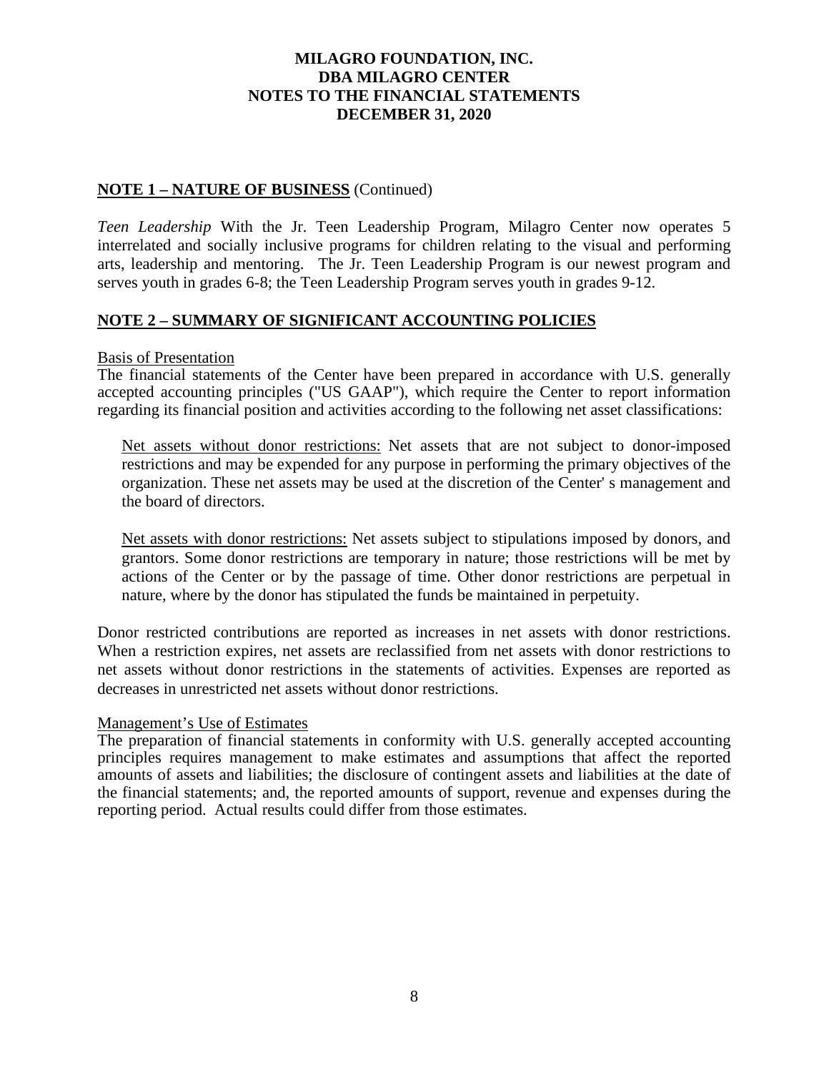### **NOTE 1 – NATURE OF BUSINESS** (Continued)

*Teen Leadership* With the Jr. Teen Leadership Program, Milagro Center now operates 5 interrelated and socially inclusive programs for children relating to the visual and performing arts, leadership and mentoring. The Jr. Teen Leadership Program is our newest program and serves youth in grades 6-8; the Teen Leadership Program serves youth in grades 9-12.

### **NOTE 2 – SUMMARY OF SIGNIFICANT ACCOUNTING POLICIES**

#### Basis of Presentation

The financial statements of the Center have been prepared in accordance with U.S. generally accepted accounting principles ("US GAAP"), which require the Center to report information regarding its financial position and activities according to the following net asset classifications:

Net assets without donor restrictions: Net assets that are not subject to donor-imposed restrictions and may be expended for any purpose in performing the primary objectives of the organization. These net assets may be used at the discretion of the Center' s management and the board of directors.

Net assets with donor restrictions: Net assets subject to stipulations imposed by donors, and grantors. Some donor restrictions are temporary in nature; those restrictions will be met by actions of the Center or by the passage of time. Other donor restrictions are perpetual in nature, where by the donor has stipulated the funds be maintained in perpetuity.

Donor restricted contributions are reported as increases in net assets with donor restrictions. When a restriction expires, net assets are reclassified from net assets with donor restrictions to net assets without donor restrictions in the statements of activities. Expenses are reported as decreases in unrestricted net assets without donor restrictions.

#### Management's Use of Estimates

The preparation of financial statements in conformity with U.S. generally accepted accounting principles requires management to make estimates and assumptions that affect the reported amounts of assets and liabilities; the disclosure of contingent assets and liabilities at the date of the financial statements; and, the reported amounts of support, revenue and expenses during the reporting period. Actual results could differ from those estimates.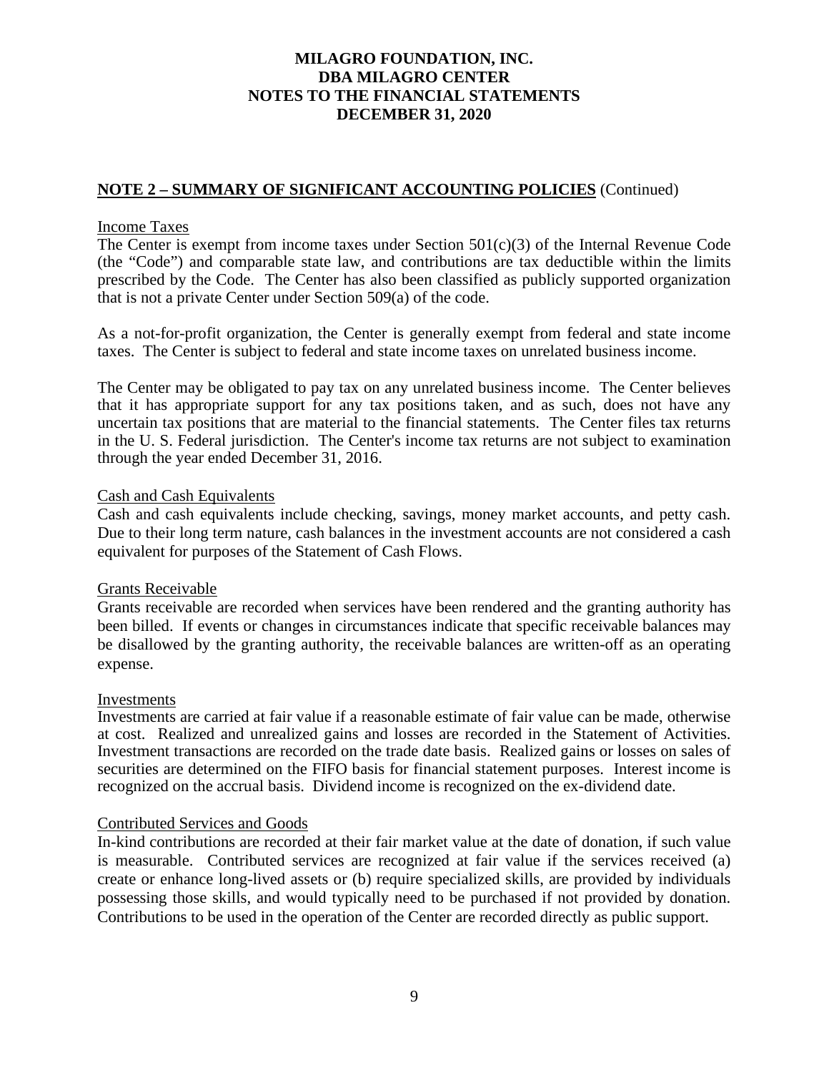### **NOTE 2 – SUMMARY OF SIGNIFICANT ACCOUNTING POLICIES** (Continued)

#### Income Taxes

The Center is exempt from income taxes under Section  $501(c)(3)$  of the Internal Revenue Code (the "Code") and comparable state law, and contributions are tax deductible within the limits prescribed by the Code. The Center has also been classified as publicly supported organization that is not a private Center under Section 509(a) of the code.

As a not-for-profit organization, the Center is generally exempt from federal and state income taxes. The Center is subject to federal and state income taxes on unrelated business income.

The Center may be obligated to pay tax on any unrelated business income. The Center believes that it has appropriate support for any tax positions taken, and as such, does not have any uncertain tax positions that are material to the financial statements. The Center files tax returns in the U. S. Federal jurisdiction. The Center's income tax returns are not subject to examination through the year ended December 31, 2016.

#### Cash and Cash Equivalents

Cash and cash equivalents include checking, savings, money market accounts, and petty cash. Due to their long term nature, cash balances in the investment accounts are not considered a cash equivalent for purposes of the Statement of Cash Flows.

### Grants Receivable

Grants receivable are recorded when services have been rendered and the granting authority has been billed. If events or changes in circumstances indicate that specific receivable balances may be disallowed by the granting authority, the receivable balances are written-off as an operating expense.

#### Investments

Investments are carried at fair value if a reasonable estimate of fair value can be made, otherwise at cost. Realized and unrealized gains and losses are recorded in the Statement of Activities. Investment transactions are recorded on the trade date basis. Realized gains or losses on sales of securities are determined on the FIFO basis for financial statement purposes. Interest income is recognized on the accrual basis. Dividend income is recognized on the ex-dividend date.

#### Contributed Services and Goods

In-kind contributions are recorded at their fair market value at the date of donation, if such value is measurable. Contributed services are recognized at fair value if the services received (a) create or enhance long-lived assets or (b) require specialized skills, are provided by individuals possessing those skills, and would typically need to be purchased if not provided by donation. Contributions to be used in the operation of the Center are recorded directly as public support.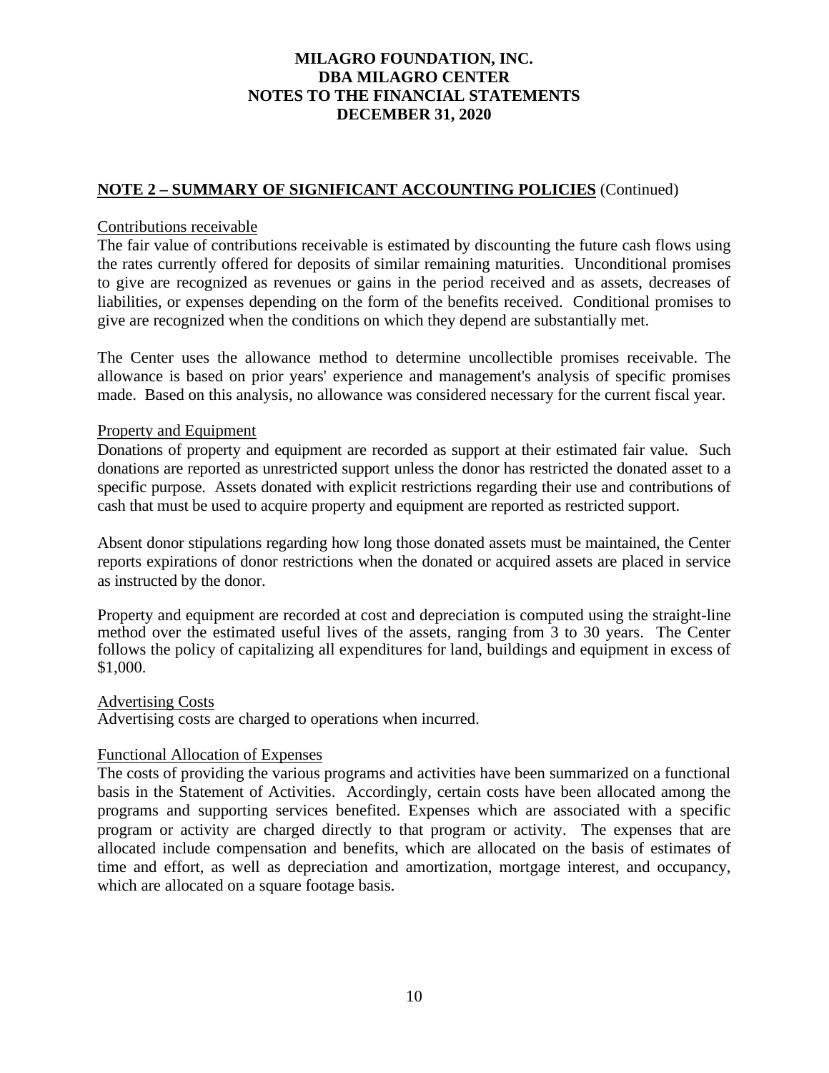### **NOTE 2 – SUMMARY OF SIGNIFICANT ACCOUNTING POLICIES** (Continued)

#### Contributions receivable

The fair value of contributions receivable is estimated by discounting the future cash flows using the rates currently offered for deposits of similar remaining maturities. Unconditional promises to give are recognized as revenues or gains in the period received and as assets, decreases of liabilities, or expenses depending on the form of the benefits received. Conditional promises to give are recognized when the conditions on which they depend are substantially met.

The Center uses the allowance method to determine uncollectible promises receivable. The allowance is based on prior years' experience and management's analysis of specific promises made. Based on this analysis, no allowance was considered necessary for the current fiscal year.

#### Property and Equipment

Donations of property and equipment are recorded as support at their estimated fair value. Such donations are reported as unrestricted support unless the donor has restricted the donated asset to a specific purpose. Assets donated with explicit restrictions regarding their use and contributions of cash that must be used to acquire property and equipment are reported as restricted support.

Absent donor stipulations regarding how long those donated assets must be maintained, the Center reports expirations of donor restrictions when the donated or acquired assets are placed in service as instructed by the donor.

Property and equipment are recorded at cost and depreciation is computed using the straight-line method over the estimated useful lives of the assets, ranging from 3 to 30 years. The Center follows the policy of capitalizing all expenditures for land, buildings and equipment in excess of \$1,000.

#### Advertising Costs

Advertising costs are charged to operations when incurred.

#### Functional Allocation of Expenses

The costs of providing the various programs and activities have been summarized on a functional basis in the Statement of Activities. Accordingly, certain costs have been allocated among the programs and supporting services benefited. Expenses which are associated with a specific program or activity are charged directly to that program or activity. The expenses that are allocated include compensation and benefits, which are allocated on the basis of estimates of time and effort, as well as depreciation and amortization, mortgage interest, and occupancy, which are allocated on a square footage basis.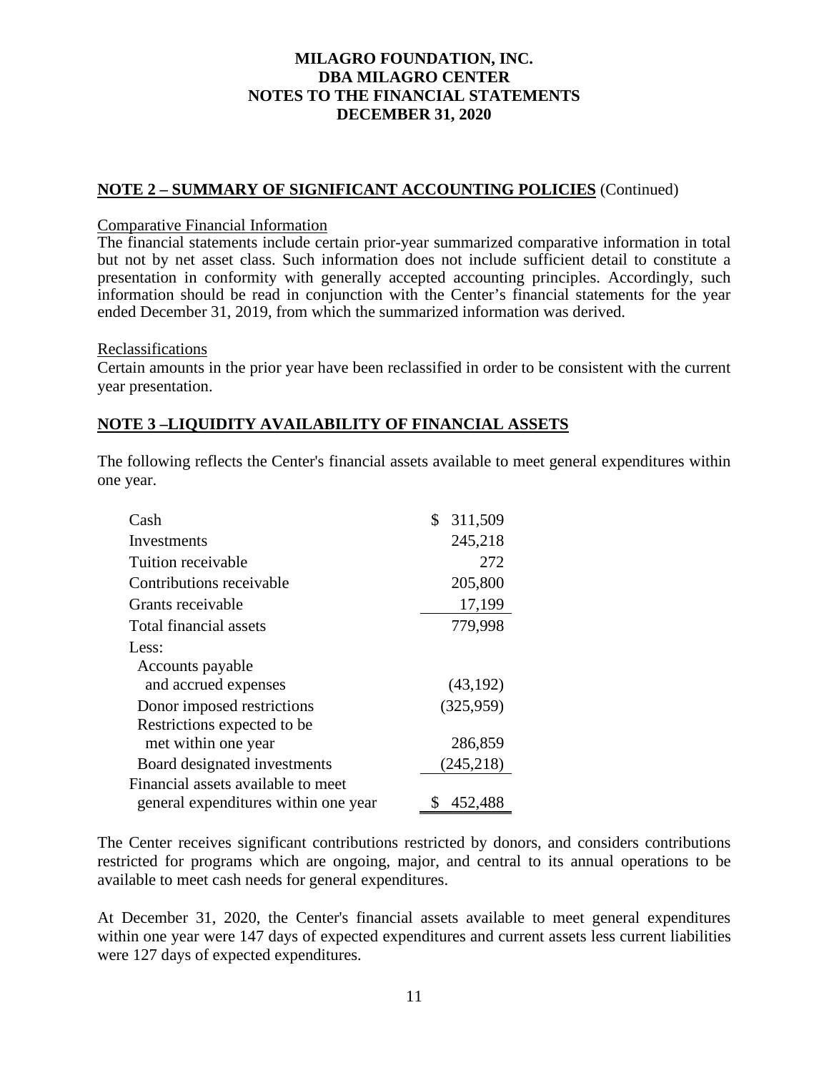### **NOTE 2 – SUMMARY OF SIGNIFICANT ACCOUNTING POLICIES** (Continued)

#### Comparative Financial Information

The financial statements include certain prior-year summarized comparative information in total but not by net asset class. Such information does not include sufficient detail to constitute a presentation in conformity with generally accepted accounting principles. Accordingly, such information should be read in conjunction with the Center's financial statements for the year ended December 31, 2019, from which the summarized information was derived.

#### Reclassifications

Certain amounts in the prior year have been reclassified in order to be consistent with the current year presentation.

### **NOTE 3 –LIQUIDITY AVAILABILITY OF FINANCIAL ASSETS**

The following reflects the Center's financial assets available to meet general expenditures within one year.

| Cash                                 | \$<br>311,509 |
|--------------------------------------|---------------|
| Investments                          | 245,218       |
| Tuition receivable                   | 272           |
| Contributions receivable             | 205,800       |
| Grants receivable                    | 17,199        |
| Total financial assets               | 779,998       |
| Less:                                |               |
| Accounts payable                     |               |
| and accrued expenses                 | (43, 192)     |
| Donor imposed restrictions           | (325, 959)    |
| Restrictions expected to be          |               |
| met within one year                  | 286,859       |
| Board designated investments         | (245, 218)    |
| Financial assets available to meet   |               |
| general expenditures within one year | 452,488       |

The Center receives significant contributions restricted by donors, and considers contributions restricted for programs which are ongoing, major, and central to its annual operations to be available to meet cash needs for general expenditures.

At December 31, 2020, the Center's financial assets available to meet general expenditures within one year were 147 days of expected expenditures and current assets less current liabilities were 127 days of expected expenditures.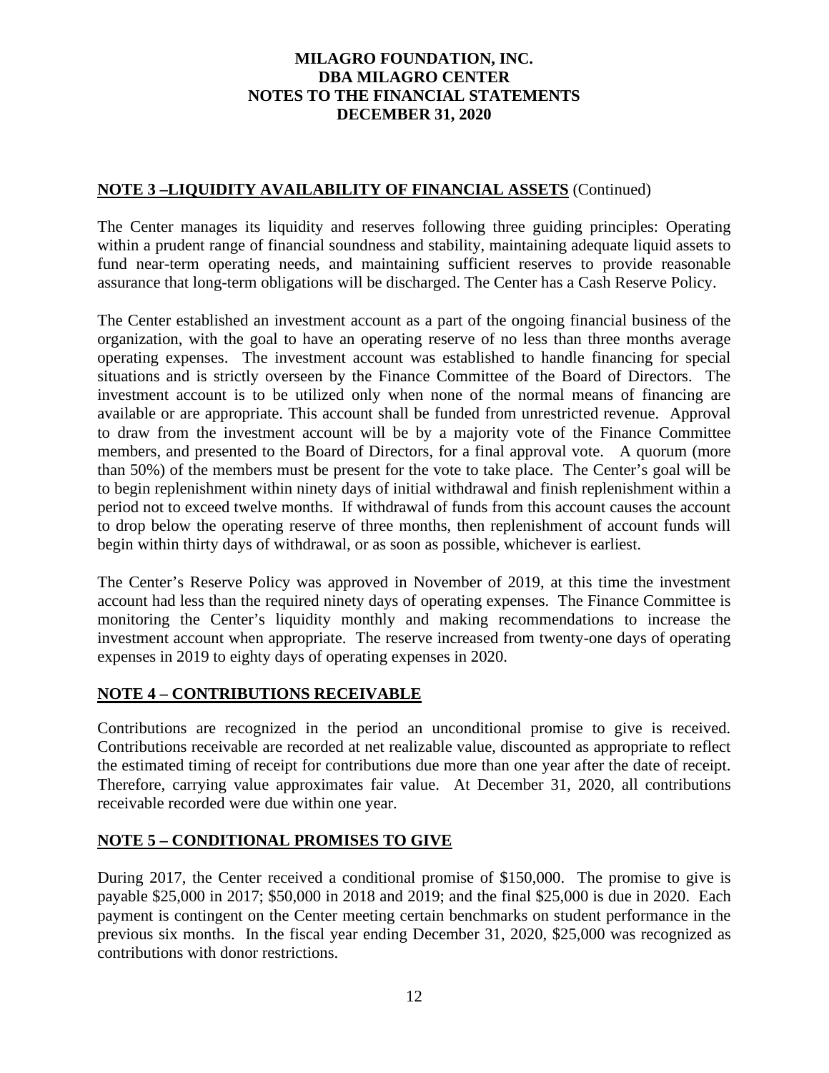### **NOTE 3 –LIQUIDITY AVAILABILITY OF FINANCIAL ASSETS** (Continued)

The Center manages its liquidity and reserves following three guiding principles: Operating within a prudent range of financial soundness and stability, maintaining adequate liquid assets to fund near-term operating needs, and maintaining sufficient reserves to provide reasonable assurance that long-term obligations will be discharged. The Center has a Cash Reserve Policy.

The Center established an investment account as a part of the ongoing financial business of the organization, with the goal to have an operating reserve of no less than three months average operating expenses. The investment account was established to handle financing for special situations and is strictly overseen by the Finance Committee of the Board of Directors. The investment account is to be utilized only when none of the normal means of financing are available or are appropriate. This account shall be funded from unrestricted revenue. Approval to draw from the investment account will be by a majority vote of the Finance Committee members, and presented to the Board of Directors, for a final approval vote. A quorum (more than 50%) of the members must be present for the vote to take place. The Center's goal will be to begin replenishment within ninety days of initial withdrawal and finish replenishment within a period not to exceed twelve months. If withdrawal of funds from this account causes the account to drop below the operating reserve of three months, then replenishment of account funds will begin within thirty days of withdrawal, or as soon as possible, whichever is earliest.

The Center's Reserve Policy was approved in November of 2019, at this time the investment account had less than the required ninety days of operating expenses. The Finance Committee is monitoring the Center's liquidity monthly and making recommendations to increase the investment account when appropriate. The reserve increased from twenty-one days of operating expenses in 2019 to eighty days of operating expenses in 2020.

### **NOTE 4 – CONTRIBUTIONS RECEIVABLE**

Contributions are recognized in the period an unconditional promise to give is received. Contributions receivable are recorded at net realizable value, discounted as appropriate to reflect the estimated timing of receipt for contributions due more than one year after the date of receipt. Therefore, carrying value approximates fair value. At December 31, 2020, all contributions receivable recorded were due within one year.

### **NOTE 5 – CONDITIONAL PROMISES TO GIVE**

During 2017, the Center received a conditional promise of \$150,000. The promise to give is payable \$25,000 in 2017; \$50,000 in 2018 and 2019; and the final \$25,000 is due in 2020. Each payment is contingent on the Center meeting certain benchmarks on student performance in the previous six months. In the fiscal year ending December 31, 2020, \$25,000 was recognized as contributions with donor restrictions.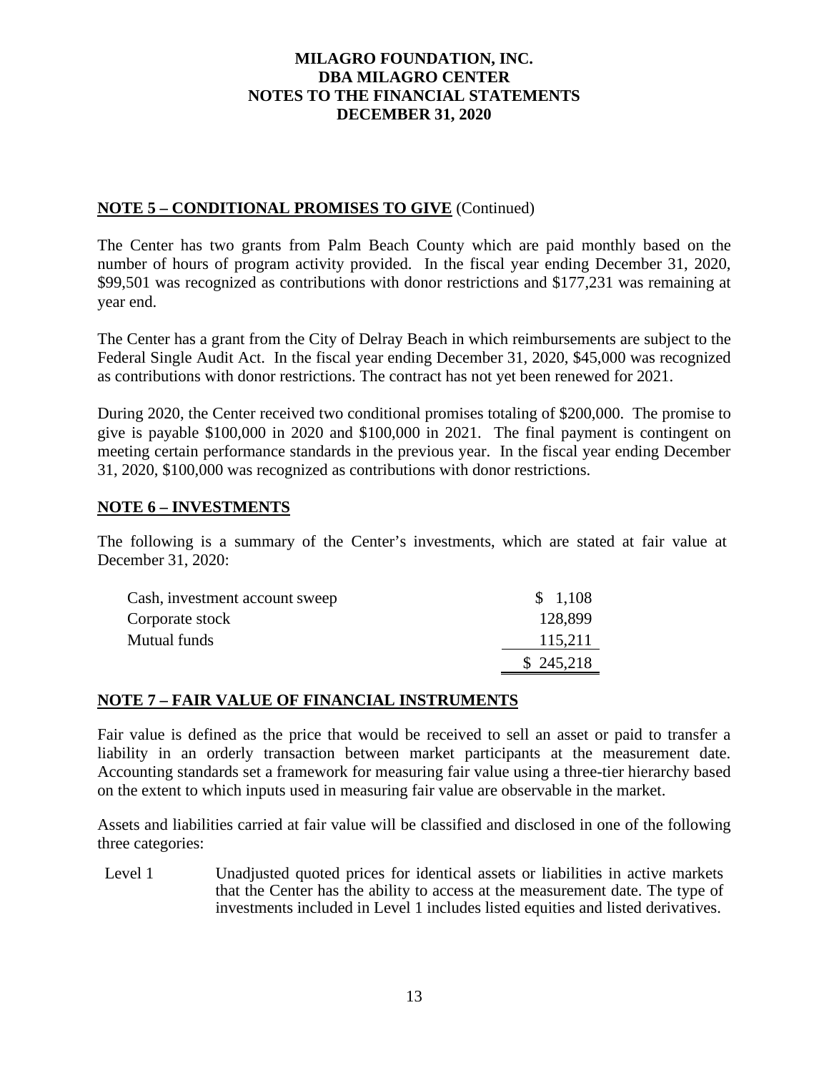### **NOTE 5 – CONDITIONAL PROMISES TO GIVE** (Continued)

The Center has two grants from Palm Beach County which are paid monthly based on the number of hours of program activity provided. In the fiscal year ending December 31, 2020, \$99,501 was recognized as contributions with donor restrictions and \$177,231 was remaining at year end.

The Center has a grant from the City of Delray Beach in which reimbursements are subject to the Federal Single Audit Act. In the fiscal year ending December 31, 2020, \$45,000 was recognized as contributions with donor restrictions. The contract has not yet been renewed for 2021.

During 2020, the Center received two conditional promises totaling of \$200,000. The promise to give is payable \$100,000 in 2020 and \$100,000 in 2021. The final payment is contingent on meeting certain performance standards in the previous year. In the fiscal year ending December 31, 2020, \$100,000 was recognized as contributions with donor restrictions.

### **NOTE 6 – INVESTMENTS**

The following is a summary of the Center's investments, which are stated at fair value at December 31, 2020:

| Cash, investment account sweep | \$1,108   |
|--------------------------------|-----------|
| Corporate stock                | 128,899   |
| Mutual funds                   | 115,211   |
|                                | \$245,218 |

## **NOTE 7 – FAIR VALUE OF FINANCIAL INSTRUMENTS**

Fair value is defined as the price that would be received to sell an asset or paid to transfer a liability in an orderly transaction between market participants at the measurement date. Accounting standards set a framework for measuring fair value using a three-tier hierarchy based on the extent to which inputs used in measuring fair value are observable in the market.

Assets and liabilities carried at fair value will be classified and disclosed in one of the following three categories:

Level 1 Unadjusted quoted prices for identical assets or liabilities in active markets that the Center has the ability to access at the measurement date. The type of investments included in Level 1 includes listed equities and listed derivatives.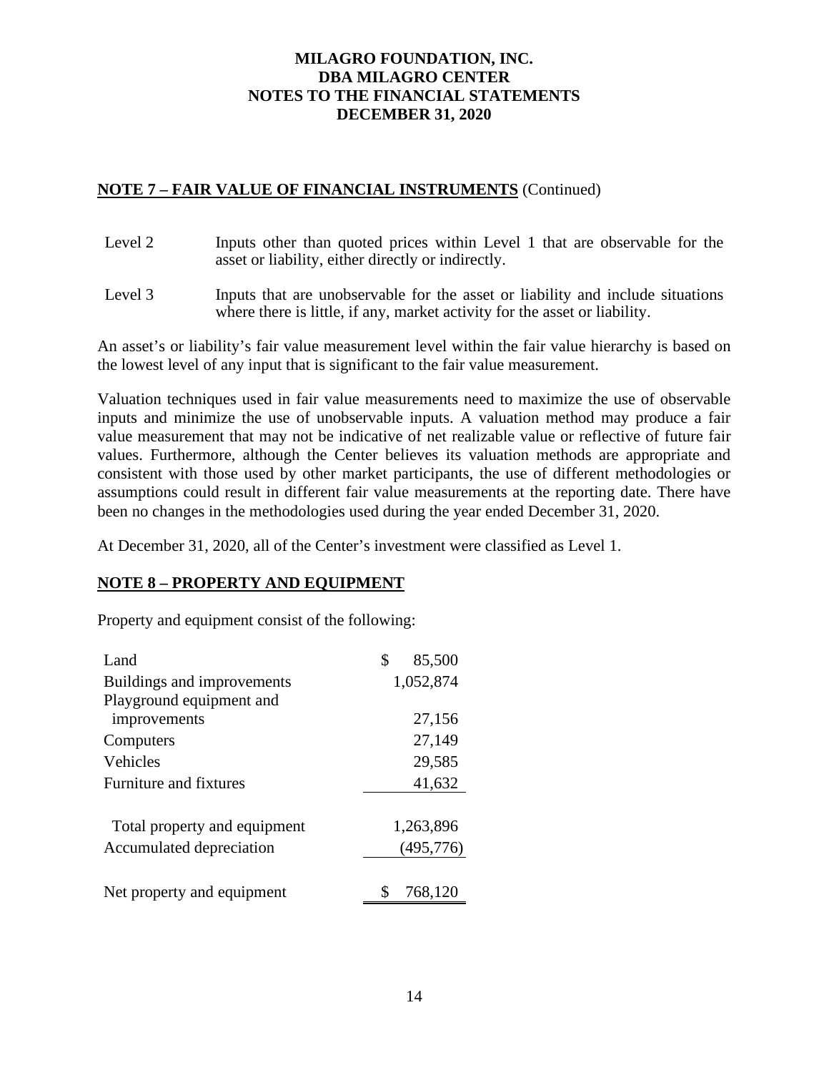### **NOTE 7 – FAIR VALUE OF FINANCIAL INSTRUMENTS** (Continued)

- Level 2 Inputs other than quoted prices within Level 1 that are observable for the asset or liability, either directly or indirectly.
- Level 3 Inputs that are unobservable for the asset or liability and include situations where there is little, if any, market activity for the asset or liability.

An asset's or liability's fair value measurement level within the fair value hierarchy is based on the lowest level of any input that is significant to the fair value measurement.

Valuation techniques used in fair value measurements need to maximize the use of observable inputs and minimize the use of unobservable inputs. A valuation method may produce a fair value measurement that may not be indicative of net realizable value or reflective of future fair values. Furthermore, although the Center believes its valuation methods are appropriate and consistent with those used by other market participants, the use of different methodologies or assumptions could result in different fair value measurements at the reporting date. There have been no changes in the methodologies used during the year ended December 31, 2020.

At December 31, 2020, all of the Center's investment were classified as Level 1.

### **NOTE 8 – PROPERTY AND EQUIPMENT**

Property and equipment consist of the following:

| Land                         | \$<br>85,500 |
|------------------------------|--------------|
| Buildings and improvements   | 1,052,874    |
| Playground equipment and     |              |
| improvements                 | 27,156       |
| Computers                    | 27,149       |
| Vehicles                     | 29,585       |
| Furniture and fixtures       | 41,632       |
| Total property and equipment | 1,263,896    |
| Accumulated depreciation     | (495,776)    |
|                              |              |
| Net property and equipment   | 768,120      |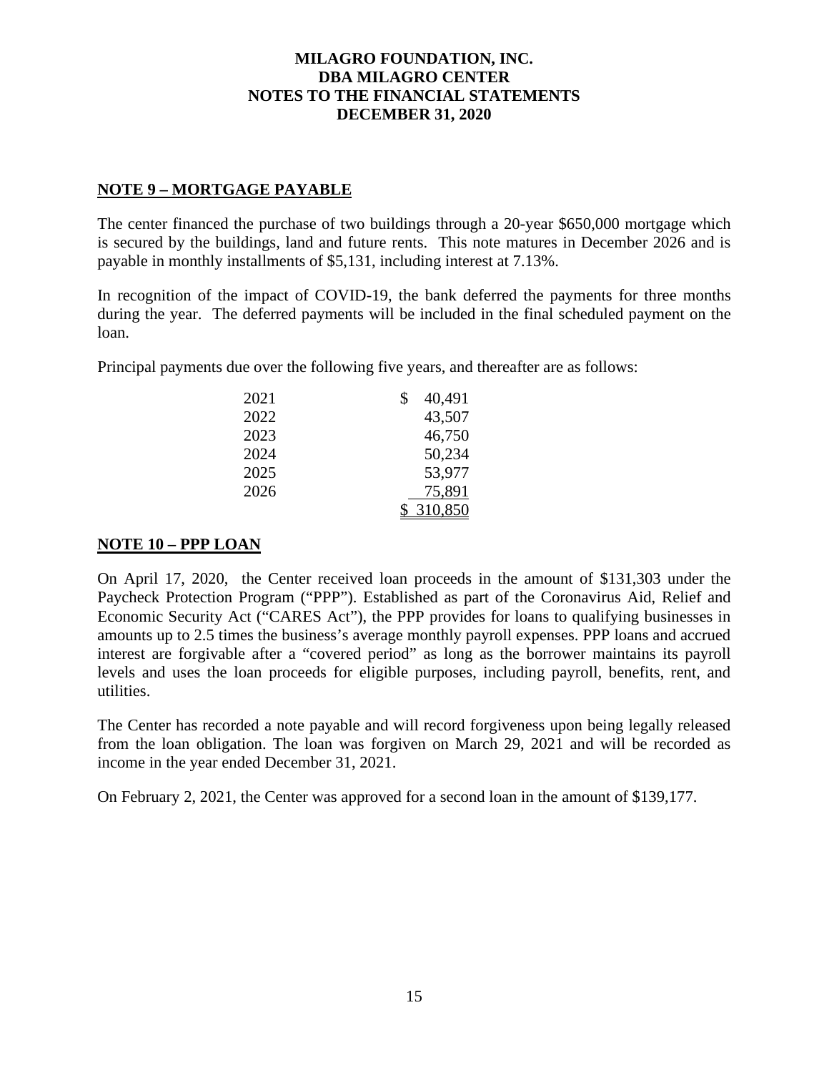### **NOTE 9 – MORTGAGE PAYABLE**

The center financed the purchase of two buildings through a 20-year \$650,000 mortgage which is secured by the buildings, land and future rents. This note matures in December 2026 and is payable in monthly installments of \$5,131, including interest at 7.13%.

In recognition of the impact of COVID-19, the bank deferred the payments for three months during the year. The deferred payments will be included in the final scheduled payment on the loan.

Principal payments due over the following five years, and thereafter are as follows:

| 2021 | 40,491  |
|------|---------|
| 2022 | 43,507  |
| 2023 | 46,750  |
| 2024 | 50,234  |
| 2025 | 53,977  |
| 2026 | 75,891  |
|      | 310,850 |

### **NOTE 10 – PPP LOAN**

On April 17, 2020, the Center received loan proceeds in the amount of \$131,303 under the Paycheck Protection Program ("PPP"). Established as part of the Coronavirus Aid, Relief and Economic Security Act ("CARES Act"), the PPP provides for loans to qualifying businesses in amounts up to 2.5 times the business's average monthly payroll expenses. PPP loans and accrued interest are forgivable after a "covered period" as long as the borrower maintains its payroll levels and uses the loan proceeds for eligible purposes, including payroll, benefits, rent, and utilities.

The Center has recorded a note payable and will record forgiveness upon being legally released from the loan obligation. The loan was forgiven on March 29, 2021 and will be recorded as income in the year ended December 31, 2021.

On February 2, 2021, the Center was approved for a second loan in the amount of \$139,177.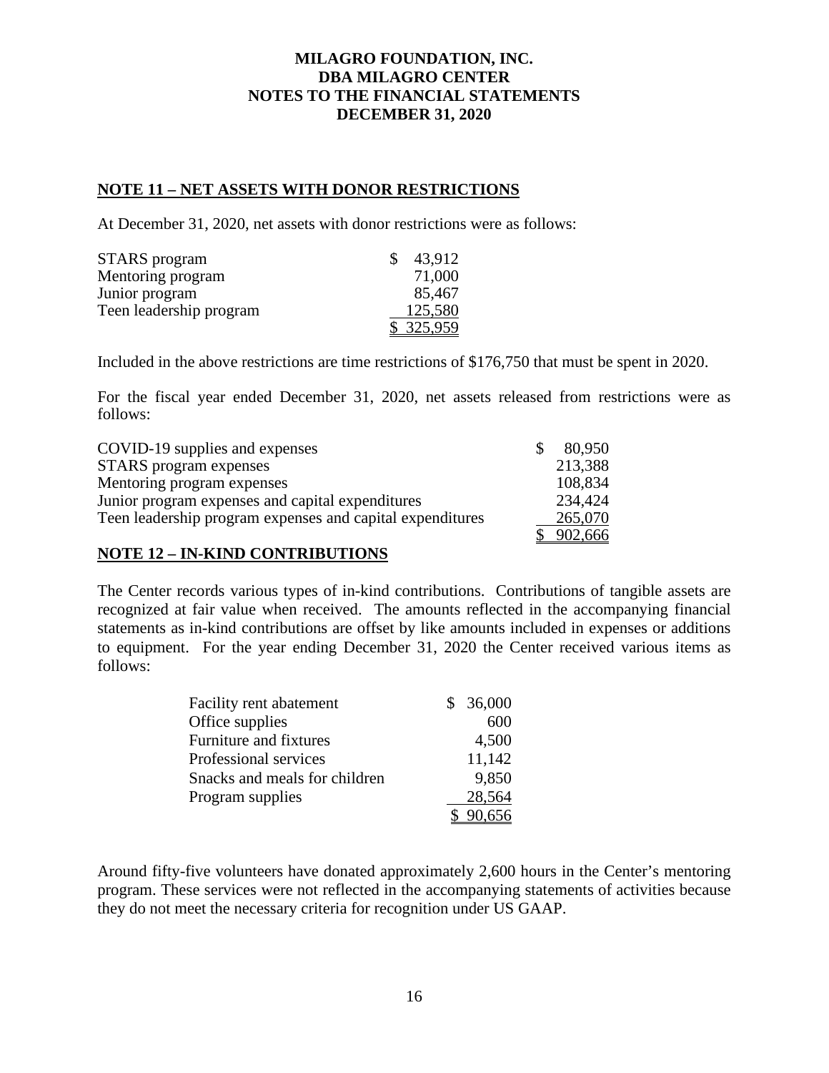### **NOTE 11 – NET ASSETS WITH DONOR RESTRICTIONS**

At December 31, 2020, net assets with donor restrictions were as follows:

| STARS program           | 43,912<br>S. |
|-------------------------|--------------|
| Mentoring program       | 71,000       |
| Junior program          | 85,467       |
| Teen leadership program | 125,580      |
|                         | \$325,959    |

Included in the above restrictions are time restrictions of \$176,750 that must be spent in 2020.

For the fiscal year ended December 31, 2020, net assets released from restrictions were as follows:

| COVID-19 supplies and expenses                            | 80,950  |
|-----------------------------------------------------------|---------|
| STARS program expenses                                    | 213,388 |
| Mentoring program expenses                                | 108,834 |
| Junior program expenses and capital expenditures          | 234,424 |
| Teen leadership program expenses and capital expenditures | 265,070 |
|                                                           | 902,666 |

### **NOTE 12 – IN-KIND CONTRIBUTIONS**

The Center records various types of in-kind contributions. Contributions of tangible assets are recognized at fair value when received. The amounts reflected in the accompanying financial statements as in-kind contributions are offset by like amounts included in expenses or additions to equipment. For the year ending December 31, 2020 the Center received various items as follows:

| Facility rent abatement       | 36,000 |
|-------------------------------|--------|
| Office supplies               | 600    |
| Furniture and fixtures        | 4,500  |
| Professional services         | 11,142 |
| Snacks and meals for children | 9,850  |
| Program supplies              | 28,564 |
|                               |        |

Around fifty-five volunteers have donated approximately 2,600 hours in the Center's mentoring program. These services were not reflected in the accompanying statements of activities because they do not meet the necessary criteria for recognition under US GAAP.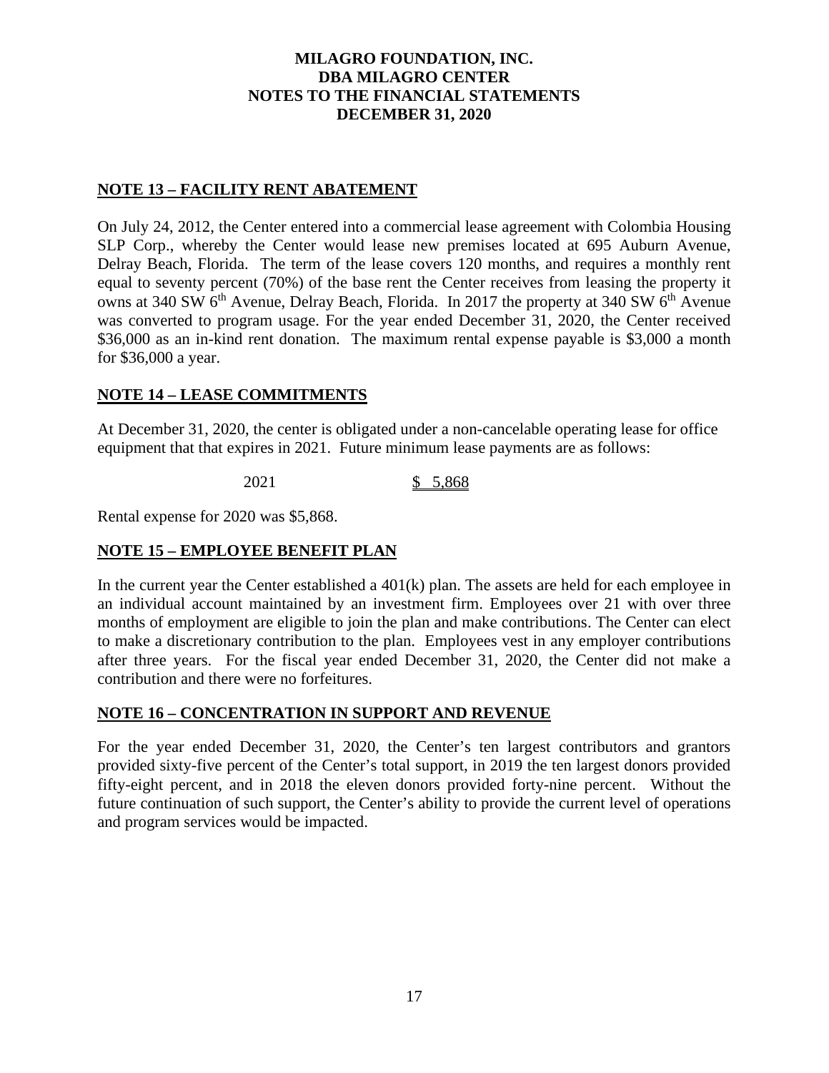### **NOTE 13 – FACILITY RENT ABATEMENT**

On July 24, 2012, the Center entered into a commercial lease agreement with Colombia Housing SLP Corp., whereby the Center would lease new premises located at 695 Auburn Avenue, Delray Beach, Florida. The term of the lease covers 120 months, and requires a monthly rent equal to seventy percent (70%) of the base rent the Center receives from leasing the property it owns at 340 SW  $6<sup>th</sup>$  Avenue, Delray Beach, Florida. In 2017 the property at 340 SW  $6<sup>th</sup>$  Avenue was converted to program usage. For the year ended December 31, 2020, the Center received \$36,000 as an in-kind rent donation. The maximum rental expense payable is \$3,000 a month for \$36,000 a year.

### **NOTE 14 – LEASE COMMITMENTS**

At December 31, 2020, the center is obligated under a non-cancelable operating lease for office equipment that that expires in 2021. Future minimum lease payments are as follows:

2021 \$ 5,868

Rental expense for 2020 was \$5,868.

### **NOTE 15 – EMPLOYEE BENEFIT PLAN**

In the current year the Center established a  $401(k)$  plan. The assets are held for each employee in an individual account maintained by an investment firm. Employees over 21 with over three months of employment are eligible to join the plan and make contributions. The Center can elect to make a discretionary contribution to the plan. Employees vest in any employer contributions after three years. For the fiscal year ended December 31, 2020, the Center did not make a contribution and there were no forfeitures.

### **NOTE 16 – CONCENTRATION IN SUPPORT AND REVENUE**

For the year ended December 31, 2020, the Center's ten largest contributors and grantors provided sixty-five percent of the Center's total support, in 2019 the ten largest donors provided fifty-eight percent, and in 2018 the eleven donors provided forty-nine percent. Without the future continuation of such support, the Center's ability to provide the current level of operations and program services would be impacted.